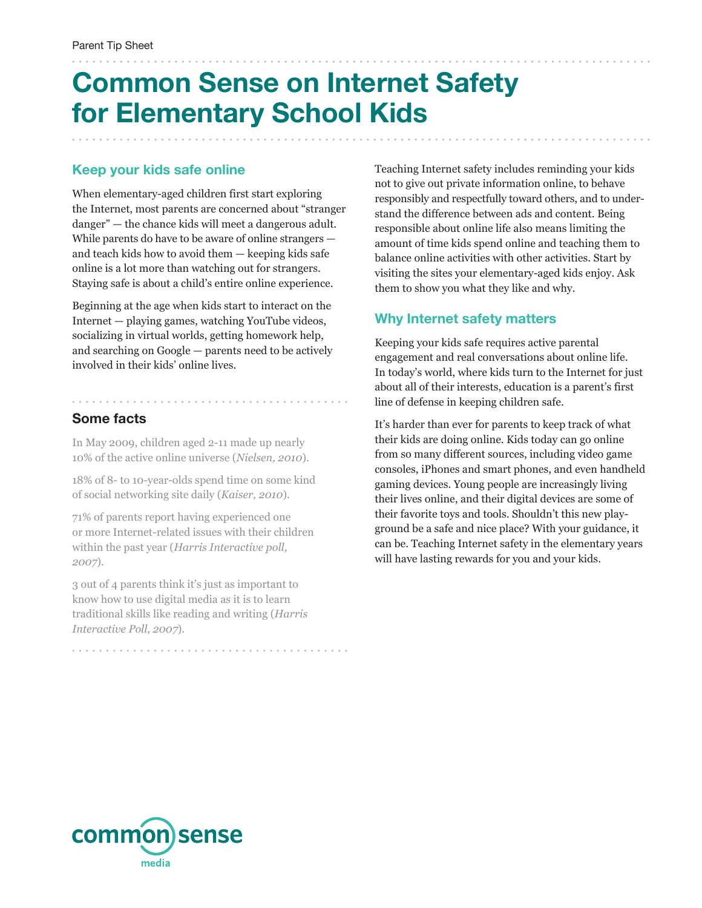# **Common Sense on Internet Safety for Elementary School Kids**

#### **Keep your kids safe online**

When elementary-aged children first start exploring the Internet, most parents are concerned about "stranger danger" — the chance kids will meet a dangerous adult. While parents do have to be aware of online strangers and teach kids how to avoid them — keeping kids safe online is a lot more than watching out for strangers. Staying safe is about a child's entire online experience.

Beginning at the age when kids start to interact on the Internet — playing games, watching YouTube videos, socializing in virtual worlds, getting homework help, and searching on Google — parents need to be actively involved in their kids' online lives.

### **Some facts**

In May 2009, children aged 2-11 made up nearly 10% of the active online universe (*Nielsen, 2010*).

18% of 8- to 10-year-olds spend time on some kind of social networking site daily (*Kaiser, 2010*).

71% of parents report having experienced one or more Internet-related issues with their children within the past year (*Harris Interactive poll, 2007*).

3 out of 4 parents think it's just as important to know how to use digital media as it is to learn traditional skills like reading and writing (*Harris Interactive Poll, 2007*).

Teaching Internet safety includes reminding your kids not to give out private information online, to behave responsibly and respectfully toward others, and to understand the difference between ads and content. Being responsible about online life also means limiting the amount of time kids spend online and teaching them to balance online activities with other activities. Start by visiting the sites your elementary-aged kids enjoy. Ask them to show you what they like and why.

### **Why Internet safety matters**

Keeping your kids safe requires active parental engagement and real conversations about online life. In today's world, where kids turn to the Internet for just about all of their interests, education is a parent's first line of defense in keeping children safe.

It's harder than ever for parents to keep track of what their kids are doing online. Kids today can go online from so many different sources, including video game consoles, iPhones and smart phones, and even handheld gaming devices. Young people are increasingly living their lives online, and their digital devices are some of their favorite toys and tools. Shouldn't this new playground be a safe and nice place? With your guidance, it can be. Teaching Internet safety in the elementary years will have lasting rewards for you and your kids.